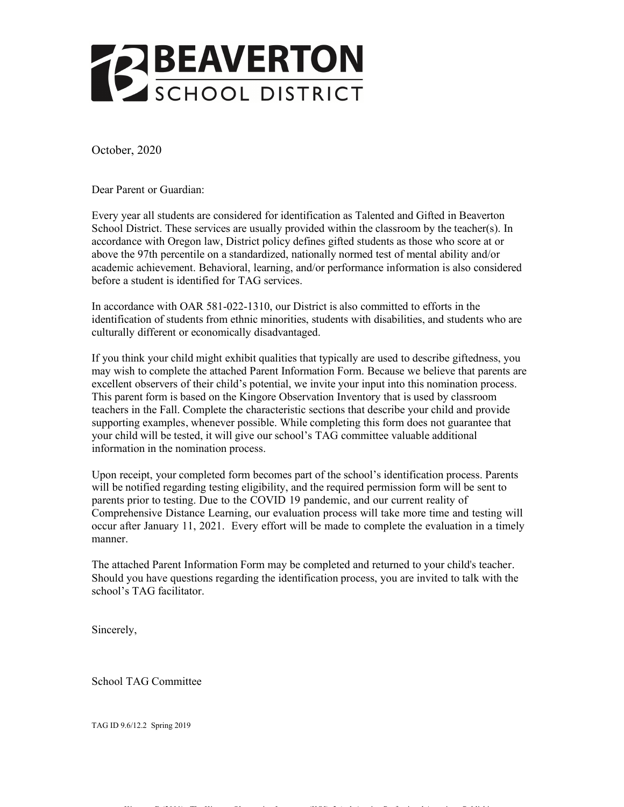

October, 2020

Dear Parent or Guardian:

Every year all students are considered for identification as Talented and Gifted in Beaverton School District. These services are usually provided within the classroom by the teacher(s). In accordance with Oregon law, District policy defines gifted students as those who score at or above the 97th percentile on a standardized, nationally normed test of mental ability and/or academic achievement. Behavioral, learning, and/or performance information is also considered before a student is identified for TAG services.

In accordance with OAR 581-022-1310, our District is also committed to efforts in the identification of students from ethnic minorities, students with disabilities, and students who are culturally different or economically disadvantaged.

If you think your child might exhibit qualities that typically are used to describe giftedness, you may wish to complete the attached Parent Information Form. Because we believe that parents are excellent observers of their child's potential, we invite your input into this nomination process. This parent form is based on the Kingore Observation Inventory that is used by classroom teachers in the Fall. Complete the characteristic sections that describe your child and provide supporting examples, whenever possible. While completing this form does not guarantee that your child will be tested, it will give our school's TAG committee valuable additional information in the nomination process.

Upon receipt, your completed form becomes part of the school's identification process. Parents will be notified regarding testing eligibility, and the required permission form will be sent to parents prior to testing. Due to the COVID 19 pandemic, and our current reality of Comprehensive Distance Learning, our evaluation process will take more time and testing will occur after January 11, 2021. Every effort will be made to complete the evaluation in a timely manner.

The attached Parent Information Form may be completed and returned to your child's teacher. Should you have questions regarding the identification process, you are invited to talk with the school's TAG facilitator.

Kingore, B (2001). The Kingore Observation Inventory (KOI). 2nd ed. Austin: Professional Associates Publishing.

Sincerely,

School TAG Committee

TAG ID 9.6/12.2 Spring 2019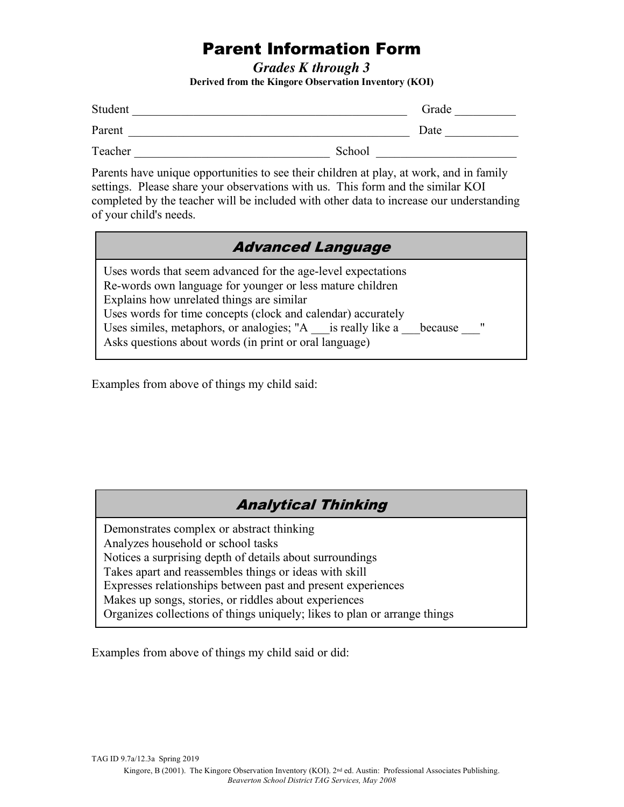# Parent Information Form

*Grades K through 3*  **Derived from the Kingore Observation Inventory (KOI)** 

| Student |        | Grade |
|---------|--------|-------|
| Parent  |        | Date  |
| Teacher | School |       |

Parents have unique opportunities to see their children at play, at work, and in family settings. Please share your observations with us. This form and the similar KOI completed by the teacher will be included with other data to increase our understanding of your child's needs.

| <b>Advanced Language</b>                                                                                                                                                                                                                                                                                                                                                                  |  |  |
|-------------------------------------------------------------------------------------------------------------------------------------------------------------------------------------------------------------------------------------------------------------------------------------------------------------------------------------------------------------------------------------------|--|--|
| Uses words that seem advanced for the age-level expectations<br>Re-words own language for younger or less mature children<br>Explains how unrelated things are similar<br>Uses words for time concepts (clock and calendar) accurately<br>Uses similes, metaphors, or analogies; "A is really like a<br>$\mathbf{H}$<br>because<br>Asks questions about words (in print or oral language) |  |  |

Examples from above of things my child said:

# Analytical Thinking

Demonstrates complex or abstract thinking Analyzes household or school tasks Notices a surprising depth of details about surroundings Takes apart and reassembles things or ideas with skill Expresses relationships between past and present experiences Makes up songs, stories, or riddles about experiences Organizes collections of things uniquely; likes to plan or arrange things

Examples from above of things my child said or did: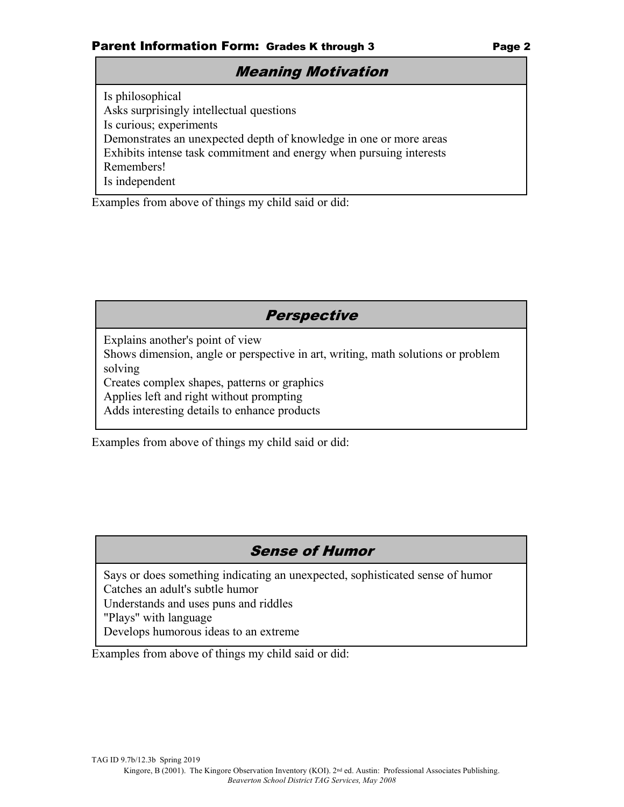## Meaning Motivation

Is philosophical Asks surprisingly intellectual questions Is curious; experiments Demonstrates an unexpected depth of knowledge in one or more areas Exhibits intense task commitment and energy when pursuing interests Remembers! Is independent

Examples from above of things my child said or did:

# **Perspective**

Explains another's point of view

Shows dimension, angle or perspective in art, writing, math solutions or problem solving

Creates complex shapes, patterns or graphics

Applies left and right without prompting

Adds interesting details to enhance products

Examples from above of things my child said or did:

# Sense of Humor

Says or does something indicating an unexpected, sophisticated sense of humor Catches an adult's subtle humor

Understands and uses puns and riddles

"Plays" with language

Develops humorous ideas to an extreme

Examples from above of things my child said or did: